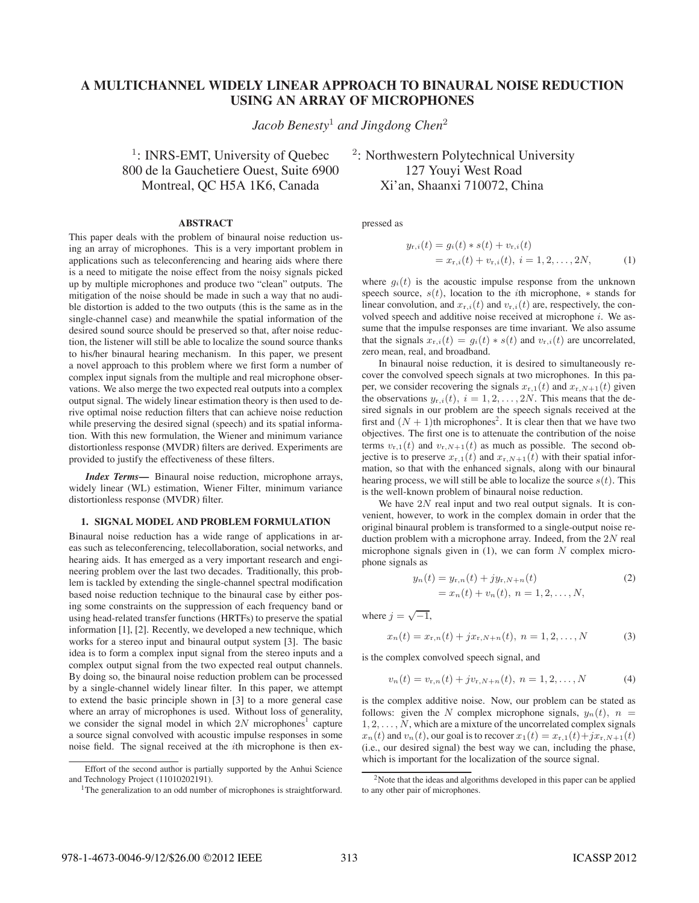# **A MULTICHANNEL WIDELY LINEAR APPROACH TO BINAURAL NOISE REDUCTION USING AN ARRAY OF MICROPHONES**

*Jacob Benesty*<sup>1</sup> *and Jingdong Chen*<sup>2</sup>

800 de la Gauchetiere Ouest, Suite 6900 127 Youyi West Road Montreal, QC H5A 1K6, Canada Xi'an, Shaanxi 710072, China

# **ABSTRACT**

This paper deals with the problem of binaural noise reduction using an array of microphones. This is a very important problem in applications such as teleconferencing and hearing aids where there is a need to mitigate the noise effect from the noisy signals picked up by multiple microphones and produce two "clean" outputs. The mitigation of the noise should be made in such a way that no audible distortion is added to the two outputs (this is the same as in the single-channel case) and meanwhile the spatial information of the desired sound source should be preserved so that, after noise reduction, the listener will still be able to localize the sound source thanks to his/her binaural hearing mechanism. In this paper, we present a novel approach to this problem where we first form a number of complex input signals from the multiple and real microphone observations. We also merge the two expected real outputs into a complex output signal. The widely linear estimation theory is then used to derive optimal noise reduction filters that can achieve noise reduction while preserving the desired signal (speech) and its spatial information. With this new formulation, the Wiener and minimum variance distortionless response (MVDR) filters are derived. Experiments are provided to justify the effectiveness of these filters.

*Index Terms***—** Binaural noise reduction, microphone arrays, widely linear (WL) estimation, Wiener Filter, minimum variance distortionless response (MVDR) filter.

# **1. SIGNAL MODEL AND PROBLEM FORMULATION**

Binaural noise reduction has a wide range of applications in areas such as teleconferencing, telecollaboration, social networks, and hearing aids. It has emerged as a very important research and engineering problem over the last two decades. Traditionally, this problem is tackled by extending the single-channel spectral modification based noise reduction technique to the binaural case by either posing some constraints on the suppression of each frequency band or using head-related transfer functions (HRTFs) to preserve the spatial information [1], [2]. Recently, we developed a new technique, which works for a stereo input and binaural output system [3]. The basic idea is to form a complex input signal from the stereo inputs and a complex output signal from the two expected real output channels. By doing so, the binaural noise reduction problem can be processed by a single-channel widely linear filter. In this paper, we attempt to extend the basic principle shown in [3] to a more general case where an array of microphones is used. Without loss of generality, we consider the signal model in which  $2N$  microphones<sup>1</sup> capture a source signal convolved with acoustic impulse responses in some noise field. The signal received at the ith microphone is then ex-

<sup>1</sup>: INRS-EMT, University of Quebec  $\frac{2}{3}$ : Northwestern Polytechnical University

pressed as

$$
y_{r,i}(t) = g_i(t) * s(t) + v_{r,i}(t)
$$
  
=  $x_{r,i}(t) + v_{r,i}(t), i = 1, 2, ..., 2N,$  (1)

where  $g_i(t)$  is the acoustic impulse response from the unknown speech source,  $s(t)$ , location to the *i*th microphone,  $*$  stands for linear convolution, and  $x_{r,i}(t)$  and  $v_{r,i}(t)$  are, respectively, the convolved speech and additive noise received at microphone i. We assume that the impulse responses are time invariant. We also assume that the signals  $x_{r,i}(t) = g_i(t) * s(t)$  and  $v_{r,i}(t)$  are uncorrelated, zero mean, real, and broadband.

In binaural noise reduction, it is desired to simultaneously recover the convolved speech signals at two microphones. In this paper, we consider recovering the signals  $x_{r,1}(t)$  and  $x_{r,N+1}(t)$  given the observations  $y_{r,i}(t)$ ,  $i = 1, 2, \ldots, 2N$ . This means that the desired signals in our problem are the speech signals received at the first and  $(N + 1)$ th microphones<sup>2</sup>. It is clear then that we have two objectives. The first one is to attenuate the contribution of the noise objectives. The first one is to attenuate the contribution of the noise terms  $v_{r,1}(t)$  and  $v_{r,N+1}(t)$  as much as possible. The second objective is to preserve  $x_{r,1}(t)$  and  $x_{r,N+1}(t)$  with their spatial information, so that with the enhanced signals, along with our binaural hearing process, we will still be able to localize the source  $s(t)$ . This is the well-known problem of binaural noise reduction.

We have  $2N$  real input and two real output signals. It is convenient, however, to work in the complex domain in order that the original binaural problem is transformed to a single-output noise reduction problem with a microphone array. Indeed, from the <sup>2</sup>N real microphone signals given in  $(1)$ , we can form N complex microphone signals as

$$
y_n(t) = y_{r,n}(t) + jy_{r,N+n}(t)
$$
  
=  $x_n(t) + v_n(t), n = 1, 2, ..., N,$  (2)

where  $j = \sqrt{-1}$ ,

$$
x_n(t) = x_{r,n}(t) + jx_{r,N+n}(t), \ n = 1, 2, \dots, N
$$
 (3)

is the complex convolved speech signal, and

$$
v_n(t) = v_{r,n}(t) + jv_{r,N+n}(t), \ n = 1, 2, \dots, N
$$
 (4)

is the complex additive noise. Now, our problem can be stated as follows: given the N complex microphone signals,  $y_n(t)$ ,  $n =$  $1, 2, \ldots, N$ , which are a mixture of the uncorrelated complex signals  $x_n(t)$  and  $v_n(t)$ , our goal is to recover  $x_1(t) = x_{r,1}(t) + jx_{r,N+1}(t)$ (i.e., our desired signal) the best way we can, including the phase, which is important for the localization of the source signal.

Effort of the second author is partially supported by the Anhui Science and Technology Project (11010202191).

<sup>&</sup>lt;sup>1</sup>The generalization to an odd number of microphones is straightforward.

<sup>&</sup>lt;sup>2</sup>Note that the ideas and algorithms developed in this paper can be applied to any other pair of microphones.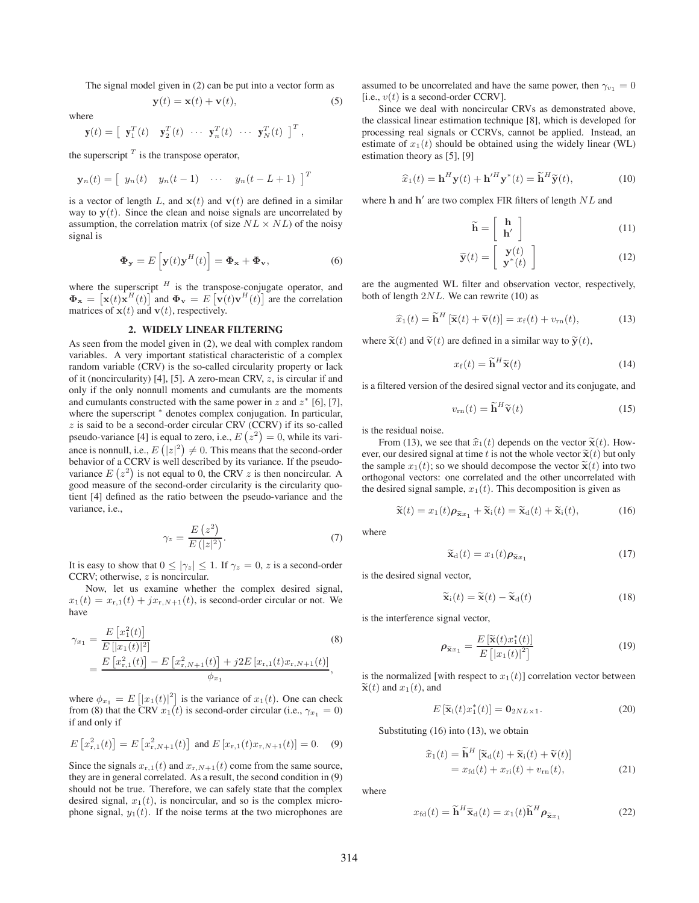The signal model given in (2) can be put into a vector form as

$$
\mathbf{y}(t) = \mathbf{x}(t) + \mathbf{v}(t),\tag{5}
$$

where

$$
\mathbf{y}(t) = \begin{bmatrix} \mathbf{y}_1^T(t) & \mathbf{y}_2^T(t) & \cdots & \mathbf{y}_n^T(t) & \cdots & \mathbf{y}_N^T(t) \end{bmatrix}^T,
$$

the superscript  $<sup>T</sup>$  is the transpose operator,</sup>

$$
\mathbf{y}_n(t) = \begin{bmatrix} y_n(t) & y_n(t-1) & \cdots & y_n(t-L+1) \end{bmatrix}^T
$$

is a vector of length L, and  $\mathbf{x}(t)$  and  $\mathbf{v}(t)$  are defined in a similar way to  $y(t)$ . Since the clean and noise signals are uncorrelated by assumption, the correlation matrix (of size  $NL \times NL$ ) of the noisy signal is

$$
\Phi_{\mathbf{y}} = E\left[\mathbf{y}(t)\mathbf{y}^H(t)\right] = \Phi_{\mathbf{x}} + \Phi_{\mathbf{v}},\tag{6}
$$

where the superscript  $^H$  is the transpose-conjugate operator, and  $\Phi_{\mathbf{x}} = [\mathbf{x}(t)\mathbf{x}^H(t)]$  and  $\Phi_{\mathbf{v}} = E[\mathbf{v}(t)\mathbf{v}^H(t)]$  are the correlation matrices of  $\mathbf{x}(t)$  and  $\mathbf{v}(t)$  respectively matrices of  $\mathbf{x}(t)$  and  $\mathbf{v}(t)$ , respectively.

#### **2. WIDELY LINEAR FILTERING**

As seen from the model given in (2), we deal with complex random variables. A very important statistical characteristic of a complex random variable (CRV) is the so-called circularity property or lack of it (noncircularity) [4], [5]. A zero-mean CRV, z, is circular if and only if the only nonnull moments and cumulants are the moments and cumulants constructed with the same power in z and  $z^*$  [6], [7], where the superscript  $*$  denotes complex conjugation. In particular,  $z$  is said to be a second-order circular CRV (CCRV) if its so-called pseudo-variance [4] is equal to zero, i.e.,  $E(z^2) = 0$ , while its vari-<br>ange is nonpull i.e.  $E(|z|^2) \neq 0$ . This means that the second order ance is nonnull, i.e.,  $E([z]^2) \neq 0$ . This means that the second-order<br>behavior of a CCRV is well described by its variance. If the pseudoance is nonnuli, i.e.,  $E(|z|^2) \neq 0$ . This means that the second-order<br>behavior of a CCRV is well described by its variance. If the pseudovariance  $E(z^2)$  is not equal to 0, the CRV z is then noncircular. A good measure of the second-order circularity is the circularity quogood measure of the second-order circularity is the circularity quotient [4] defined as the ratio between the pseudo-variance and the variance, i.e.,

$$
\gamma_z = \frac{E\left(z^2\right)}{E\left(|z|^2\right)}.\tag{7}
$$

It is easy to show that  $0 \le |\gamma_z| \le 1$ . If  $\gamma_z = 0$ , z is a second-order CCRV; otherwise, z is noncircular.

Now, let us examine whether the complex desired signal,  $x_1(t) = x_{r,1}(t) + jx_{r,N+1}(t)$ , is second-order circular or not. We have

$$
\gamma_{x_1} = \frac{E\left[x_1^2(t)\right]}{E\left[|x_1(t)|^2\right]}
$$
\n
$$
= \frac{E\left[x_{\rm r,1}^2(t)\right] - E\left[x_{\rm r,N+1}^2(t)\right] + j2E\left[x_{\rm r,1}(t)x_{\rm r,N+1}(t)\right]}{\phi_{x_1}},
$$
\n(8)

where  $\phi_{x_1} = E\left[|x_1(t)|^2\right]$  is the variance of  $x_1(t)$ . One can check<br>from (8) that the CBV  $x_1(t)$  is second-order circular (i.e.  $\alpha = 0$ ) from (8) that the CRV  $x_1(t)$  is second-order circular (i.e.,  $\gamma_{x_1} = 0$ ) if and only if

$$
E[x_{\rm r,1}^2(t)] = E[x_{\rm r,N+1}^2(t)] \text{ and } E[x_{\rm r,1}(t)x_{\rm r,N+1}(t)] = 0. \quad (9)
$$

Since the signals  $x_{r,1}(t)$  and  $x_{r,N+1}(t)$  come from the same source, they are in general correlated. As a result, the second condition in (9) should not be true. Therefore, we can safely state that the complex desired signal,  $x_1(t)$ , is noncircular, and so is the complex microphone signal,  $y_1(t)$ . If the noise terms at the two microphones are assumed to be uncorrelated and have the same power, then  $\gamma_{v_1} = 0$ [i.e.,  $v(t)$  is a second-order CCRV].

Since we deal with noncircular CRVs as demonstrated above, the classical linear estimation technique [8], which is developed for processing real signals or CCRVs, cannot be applied. Instead, an estimate of  $x_1(t)$  should be obtained using the widely linear (WL) estimation theory as [5], [9]

$$
\widehat{x}_1(t) = \mathbf{h}^H \mathbf{y}(t) + \mathbf{h}'^H \mathbf{y}^*(t) = \widetilde{\mathbf{h}}^H \widetilde{\mathbf{y}}(t),
$$
\n(10)

where  $h$  and  $h'$  are two complex FIR filters of length  $NL$  and

$$
\widetilde{\mathbf{h}} = \left[ \begin{array}{c} \mathbf{h} \\ \mathbf{h}' \end{array} \right] \tag{11}
$$

$$
\widetilde{\mathbf{y}}(t) = \left[ \begin{array}{c} \mathbf{y}(t) \\ \mathbf{y}^*(t) \end{array} \right] \tag{12}
$$

are the augmented WL filter and observation vector, respectively, both of length  $2NL$ . We can rewrite (10) as

$$
\widehat{x}_1(t) = \widetilde{\mathbf{h}}^H \left[ \widetilde{\mathbf{x}}(t) + \widetilde{\mathbf{v}}(t) \right] = x_{\rm f}(t) + v_{\rm rn}(t),\tag{13}
$$

where  $\tilde{\mathbf{x}}(t)$  and  $\tilde{\mathbf{v}}(t)$  are defined in a similar way to  $\tilde{\mathbf{v}}(t)$ ,

$$
x_{\rm f}(t) = \widetilde{\mathbf{h}}^H \widetilde{\mathbf{x}}(t) \tag{14}
$$

is a filtered version of the desired signal vector and its conjugate, and

$$
v_{\rm rn}(t) = \widetilde{\mathbf{h}}^H \widetilde{\mathbf{v}}(t) \tag{15}
$$

is the residual noise.

From (13), we see that  $\hat{x}_1(t)$  depends on the vector  $\tilde{\mathbf{x}}(t)$ . However, our desired signal at time t is not the whole vector  $\tilde{\mathbf{x}}(t)$  but only the sample  $x_1(t)$ ; so we should decompose the vector  $\tilde{\mathbf{x}}(t)$  into two orthogonal vectors: one correlated and the other uncorrelated with the desired signal sample,  $x_1(t)$ . This decomposition is given as

$$
\widetilde{\mathbf{x}}(t) = x_1(t)\rho_{\widetilde{\mathbf{x}}x_1} + \widetilde{\mathbf{x}}_i(t) = \widetilde{\mathbf{x}}_d(t) + \widetilde{\mathbf{x}}_i(t),\tag{16}
$$

where

$$
\widetilde{\mathbf{x}}_{\mathrm{d}}(t) = x_1(t)\rho_{\widetilde{\mathbf{x}}x_1} \tag{17}
$$

is the desired signal vector,

$$
\widetilde{\mathbf{x}}_i(t) = \widetilde{\mathbf{x}}(t) - \widetilde{\mathbf{x}}_d(t) \tag{18}
$$

is the interference signal vector,

$$
\rho_{\tilde{\mathbf{x}}x_1} = \frac{E\left[\tilde{\mathbf{x}}(t)x_1^*(t)\right]}{E\left[|x_1(t)|^2\right]}
$$
(19)

is the normalized [with respect to  $x_1(t)$ ] correlation vector between  $\tilde{\mathbf{x}}(t)$  and  $x_1(t)$ , and

$$
E\left[\widetilde{\mathbf{x}}_i(t)x_1^*(t)\right] = \mathbf{0}_{2NL \times 1}.
$$
 (20)

Substituting (16) into (13), we obtain

$$
\begin{aligned} \widehat{x}_1(t) &= \widetilde{\mathbf{h}}^H \left[ \widetilde{\mathbf{x}}_d(t) + \widetilde{\mathbf{x}}_i(t) + \widetilde{\mathbf{v}}(t) \right] \\ &= x_{\text{fd}}(t) + x_{\text{ri}}(t) + v_{\text{rn}}(t), \end{aligned} \tag{21}
$$

where

$$
x_{\rm fd}(t) = \widetilde{\mathbf{h}}^H \widetilde{\mathbf{x}}_{\rm d}(t) = x_1(t) \widetilde{\mathbf{h}}^H \boldsymbol{\rho}_{\widetilde{\mathbf{x}}x_1}
$$
(22)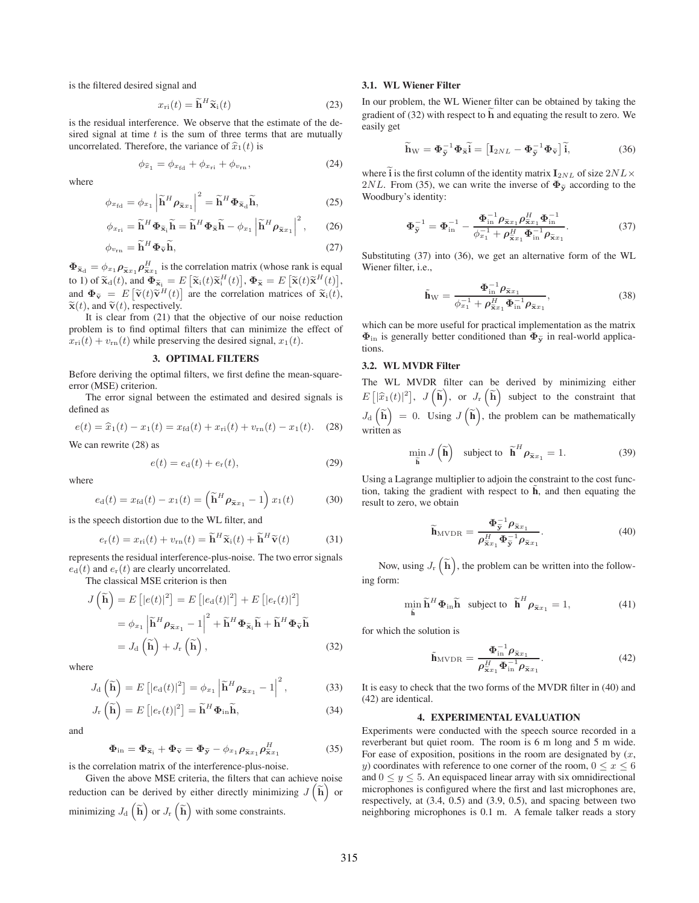is the filtered desired signal and

$$
x_{\rm ri}(t) = \widetilde{\mathbf{h}}^H \widetilde{\mathbf{x}}_{\rm i}(t) \tag{23}
$$

is the residual interference. We observe that the estimate of the desired signal at time  $t$  is the sum of three terms that are mutually uncorrelated. Therefore, the variance of  $\hat{x}_1(t)$  is

$$
\phi_{\hat{x}_1} = \phi_{x_{\text{fd}}} + \phi_{x_{\text{ri}}} + \phi_{v_{\text{rn}}},\tag{24}
$$

where

$$
\phi_{x_{\rm fd}} = \phi_{x_1} \left| \widetilde{\mathbf{h}}^H \rho_{\widetilde{\mathbf{x}}x_1} \right|^2 = \widetilde{\mathbf{h}}^H \Phi_{\widetilde{\mathbf{x}}_d} \widetilde{\mathbf{h}},\tag{25}
$$

$$
\phi_{x_{\rm ri}} = \widetilde{\mathbf{h}}^H \mathbf{\Phi}_{\widetilde{\mathbf{x}}_1} \widetilde{\mathbf{h}} = \widetilde{\mathbf{h}}^H \mathbf{\Phi}_{\widetilde{\mathbf{x}}} \widetilde{\mathbf{h}} - \phi_{x_1} \left| \widetilde{\mathbf{h}}^H \boldsymbol{\rho}_{\widetilde{\mathbf{x}} x_1} \right|^2, \qquad (26)
$$

$$
\phi_{v_{\rm rn}} = \widetilde{\mathbf{h}}^H \mathbf{\Phi}_{\widetilde{\mathbf{v}}} \widetilde{\mathbf{h}},\tag{27}
$$

 $\Phi_{\tilde{\mathbf{x}}_d} = \phi_{x_1} \rho_{\tilde{\mathbf{x}}_{x_1}} \rho_{\tilde{\mathbf{x}}_{x_1}}^H$  is the correlation matrix (whose rank is equal to  $\mathbb{E}[\tilde{\mathbf{x}}(t) \tilde{\mathbf{x}}^H(t)] = \mathbb{E}[\tilde{\mathbf{x}}(t) \tilde{\mathbf{x}}^H(t)]$ to 1) of  $\widetilde{\mathbf{x}}_d(t)$ , and  $\mathbf{\Phi}_{\widetilde{\mathbf{x}}_i} = E\left[\widetilde{\mathbf{x}}_i(t)\widetilde{\mathbf{x}}_i^H(t)\right], \mathbf{\Phi}_{\widetilde{\mathbf{x}}} = E\left[\widetilde{\mathbf{x}}(t)\widetilde{\mathbf{x}}^H(t)\right],$ and  $\Phi_{\tilde{\mathbf{v}}} = E\left[\tilde{\mathbf{v}}(t)\tilde{\mathbf{v}}^H(t)\right]$  are the correlation matrices of  $\tilde{\mathbf{x}}_i(t)$ ,  $\tilde{\mathbf{x}}(t)$  and  $\tilde{\mathbf{v}}(t)$  respectively  $\tilde{\mathbf{x}}(t)$ , and  $\tilde{\mathbf{v}}(t)$ , respectively.

It is clear from (21) that the objective of our noise reduction problem is to find optimal filters that can minimize the effect of  $x_{\text{ri}}(t) + v_{\text{rn}}(t)$  while preserving the desired signal,  $x_1(t)$ .

# **3. OPTIMAL FILTERS**

Before deriving the optimal filters, we first define the mean-squareerror (MSE) criterion.

The error signal between the estimated and desired signals is defined as

$$
e(t) = \hat{x}_1(t) - x_1(t) = x_{\text{fd}}(t) + x_{\text{ri}}(t) + v_{\text{rn}}(t) - x_1(t). \quad (28)
$$

We can rewrite (28) as

$$
e(t) = e_{d}(t) + e_{r}(t),
$$
\n(29)

where

$$
e_{\rm d}(t) = x_{\rm fd}(t) - x_1(t) = \left(\widetilde{\mathbf{h}}^H \rho_{\widetilde{\mathbf{x}}x_1} - 1\right) x_1(t) \tag{30}
$$

is the speech distortion due to the WL filter, and

$$
e_{\rm r}(t) = x_{\rm ri}(t) + v_{\rm rn}(t) = \widetilde{\mathbf{h}}^H \widetilde{\mathbf{x}}_{\rm i}(t) + \widetilde{\mathbf{h}}^H \widetilde{\mathbf{v}}(t) \tag{31}
$$

represents the residual interference-plus-noise. The two error signals  $e_d(t)$  and  $e_r(t)$  are clearly uncorrelated.

The classical MSE criterion is then

$$
J\left(\widetilde{\mathbf{h}}\right) = E\left[|e(t)|^2\right] = E\left[|e_{\mathrm{d}}(t)|^2\right] + E\left[|e_{\mathrm{r}}(t)|^2\right]
$$

$$
= \phi_{x_1} \left|\widetilde{\mathbf{h}}^H \rho_{\widetilde{\mathbf{x}}x_1} - 1\right|^2 + \widetilde{\mathbf{h}}^H \Phi_{\widetilde{\mathbf{x}}_1} \widetilde{\mathbf{h}} + \widetilde{\mathbf{h}}^H \Phi_{\widetilde{\mathbf{v}}}\widetilde{\mathbf{h}}
$$

$$
= J_{\mathrm{d}}\left(\widetilde{\mathbf{h}}\right) + J_{\mathrm{r}}\left(\widetilde{\mathbf{h}}\right), \tag{32}
$$

where

$$
J_{\rm d}\left(\widetilde{\mathbf{h}}\right) = E\left[|e_{\rm d}(t)|^2\right] = \phi_{x_1} \left|\widetilde{\mathbf{h}}^H \boldsymbol{\rho}_{\widetilde{\mathbf{x}}x_1} - 1\right|^2, \tag{33}
$$

$$
J_{\rm r}\left(\widetilde{\mathbf{h}}\right) = E\left[|e_{\rm r}(t)|^2\right] = \widetilde{\mathbf{h}}^H \mathbf{\Phi}_{\rm in} \widetilde{\mathbf{h}},\tag{34}
$$

and

$$
\Phi_{\rm in} = \Phi_{\tilde{\mathbf{x}}_1} + \Phi_{\tilde{\mathbf{v}}} = \Phi_{\tilde{\mathbf{y}}} - \phi_{x_1} \rho_{\tilde{\mathbf{x}}x_1} \rho_{\tilde{\mathbf{x}}x_1}^H \tag{35}
$$

is the correlation matrix of the interference-plus-noise.

Given the above MSE criteria, the filters that can achieve noise reduction can be derived by either directly minimizing  $J(\tilde{h})$  or minimizing  $J_d\left(\tilde{\mathbf{h}}\right)$  or  $J_r\left(\tilde{\mathbf{h}}\right)$  with some constraints.

## **3.1. WL Wiener Filter**

In our problem, the WL Wiener filter can be obtained by taking the gradient of  $(32)$  with respect to  $\tilde{h}$  and equating the result to zero. We easily get

$$
\widetilde{\mathbf{h}}_{\mathbf{W}} = \mathbf{\Phi}_{\widetilde{\mathbf{y}}}^{-1} \mathbf{\Phi}_{\widetilde{\mathbf{x}}} \widetilde{\mathbf{i}} = \left[ \mathbf{I}_{2NL} - \mathbf{\Phi}_{\widetilde{\mathbf{y}}}^{-1} \mathbf{\Phi}_{\widetilde{\mathbf{v}}} \right] \widetilde{\mathbf{i}},\tag{36}
$$

where **i** is the first column of the identity matrix  $\mathbf{I}_{2NL}$  of size  $2NL \times$ 2NL. From (35), we can write the inverse of  $\Phi_{\tilde{v}}$  according to the Woodbury's identity:

$$
\Phi_{\tilde{\mathbf{y}}}^{-1} = \Phi_{\text{in}}^{-1} - \frac{\Phi_{\text{in}}^{-1} \rho_{\tilde{\mathbf{x}}x_1} \rho_{\tilde{\mathbf{x}}x_1}^H \Phi_{\text{in}}^{-1}}{\phi_{x_1}^{-1} + \rho_{\tilde{\mathbf{x}}x_1}^H \Phi_{\text{in}}^{-1} \rho_{\tilde{\mathbf{x}}x_1}}.
$$
(37)

Substituting (37) into (36), we get an alternative form of the WL Wiener filter, i.e.,

$$
\tilde{\mathbf{h}}_{\mathbf{W}} = \frac{\mathbf{\Phi}_{\mathrm{in}}^{-1} \rho_{\tilde{\mathbf{x}}x_1}}{\phi_{x_1}^{-1} + \rho_{\tilde{\mathbf{x}}x_1}^H \mathbf{\Phi}_{\mathrm{in}}^{-1} \rho_{\tilde{\mathbf{x}}x_1}},\tag{38}
$$

which can be more useful for practical implementation as the matrix  $\Phi$ <sub>in</sub> is generally better conditioned than  $\Phi_{\tilde{y}}$  in real-world applications.

### **3.2. WL MVDR Filter**

The WL MVDR filter can be derived by minimizing either  $E\left[|\hat{x}_1(t)|^2\right], J\left(\tilde{\mathbf{h}}\right)$ , or  $J_r\left(\tilde{\mathbf{h}}\right)$  subject to the constraint that  $J_d\left(\tilde{\mathbf{h}}\right) = 0$ . Using  $J\left(\tilde{\mathbf{h}}\right)$ , the problem can be mathematically written as

$$
\min_{\widetilde{\mathbf{h}}} J\left(\widetilde{\mathbf{h}}\right) \quad \text{subject to} \quad \widetilde{\mathbf{h}}^H \rho_{\widetilde{\mathbf{x}}x_1} = 1. \tag{39}
$$

Using a Lagrange multiplier to adjoin the constraint to the cost function, taking the gradient with respect to  $\hat{\mathbf{h}}$ , and then equating the result to zero, we obtain

$$
\widetilde{\mathbf{h}}_{\text{MVDR}} = \frac{\Phi_{\widetilde{\mathbf{y}}}^{-1} \rho_{\widetilde{\mathbf{x}}x_1}}{\rho_{\widetilde{\mathbf{x}}x_1}^H \Phi_{\widetilde{\mathbf{y}}}^{-1} \rho_{\widetilde{\mathbf{x}}x_1}}.
$$
\n(40)

Now, using  $J_{\rm r}$   $\left(\tilde{\bf h}\right)$ , the problem can be written into the following form:

$$
\min_{\tilde{\mathbf{h}}} \tilde{\mathbf{h}}^H \boldsymbol{\Phi}_{\text{in}} \tilde{\mathbf{h}} \quad \text{subject to} \quad \tilde{\mathbf{h}}^H \boldsymbol{\rho}_{\tilde{\mathbf{x}}x_1} = 1,\tag{41}
$$

for which the solution is

$$
\tilde{\mathbf{h}}_{\text{MVDR}} = \frac{\mathbf{\Phi}_{\text{in}}^{-1} \rho_{\tilde{\mathbf{x}}x_1}}{\rho_{\tilde{\mathbf{x}}x_1}^H \mathbf{\Phi}_{\text{in}}^{-1} \rho_{\tilde{\mathbf{x}}x_1}}.
$$
(42)

It is easy to check that the two forms of the MVDR filter in (40) and (42) are identical.

#### **4. EXPERIMENTAL EVALUATION**

Experiments were conducted with the speech source recorded in a reverberant but quiet room. The room is 6 m long and 5 m wide. For ease of exposition, positions in the room are designated by  $(x,$ y) coordinates with reference to one corner of the room,  $0 \le x \le 6$ and  $0 \leq y \leq 5$ . An equispaced linear array with six omnidirectional microphones is configured where the first and last microphones are, respectively, at (3.4, 0.5) and (3.9, 0.5), and spacing between two neighboring microphones is 0.1 m. A female talker reads a story